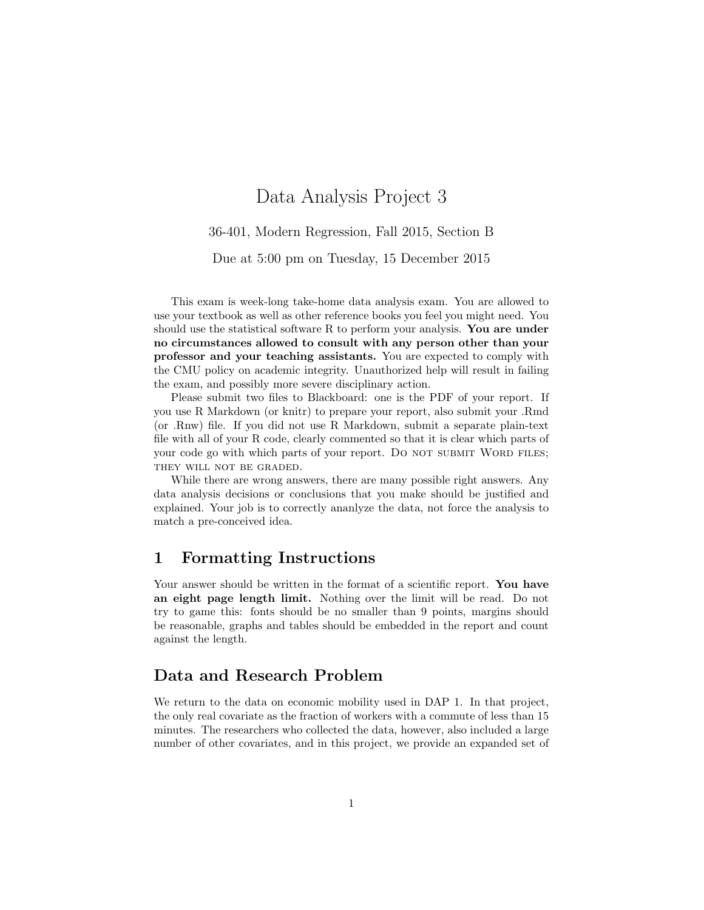# Data Analysis Project 3

36-401, Modern Regression, Fall 2015, Section B

Due at 5:00 pm on Tuesday, 15 December 2015

This exam is week-long take-home data analysis exam. You are allowed to use your textbook as well as other reference books you feel you might need. You should use the statistical software R to perform your analysis. You are under no circumstances allowed to consult with any person other than your professor and your teaching assistants. You are expected to comply with the CMU policy on academic integrity. Unauthorized help will result in failing the exam, and possibly more severe disciplinary action.

Please submit two files to Blackboard: one is the PDF of your report. If you use R Markdown (or knitr) to prepare your report, also submit your .Rmd (or .Rnw) file. If you did not use R Markdown, submit a separate plain-text file with all of your R code, clearly commented so that it is clear which parts of your code go with which parts of your report. Do NOT SUBMIT WORD FILES; THEY WILL NOT BE GRADED.

While there are wrong answers, there are many possible right answers. Any data analysis decisions or conclusions that you make should be justified and explained. Your job is to correctly ananlyze the data, not force the analysis to match a pre-conceived idea.

### 1 Formatting Instructions

Your answer should be written in the format of a scientific report. You have an eight page length limit. Nothing over the limit will be read. Do not try to game this: fonts should be no smaller than 9 points, margins should be reasonable, graphs and tables should be embedded in the report and count against the length.

### Data and Research Problem

We return to the data on economic mobility used in DAP 1. In that project, the only real covariate as the fraction of workers with a commute of less than 15 minutes. The researchers who collected the data, however, also included a large number of other covariates, and in this project, we provide an expanded set of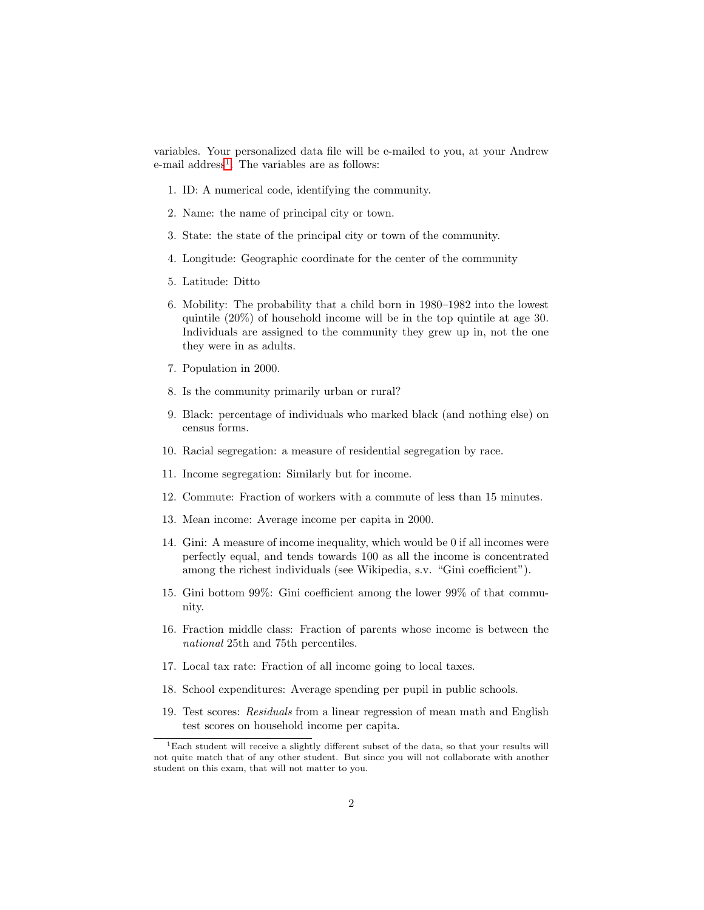variables. Your personalized data file will be e-mailed to you, at your Andrew e-mail address<sup>[1](#page-1-0)</sup>. The variables are as follows:

- 1. ID: A numerical code, identifying the community.
- 2. Name: the name of principal city or town.
- 3. State: the state of the principal city or town of the community.
- 4. Longitude: Geographic coordinate for the center of the community
- 5. Latitude: Ditto
- 6. Mobility: The probability that a child born in 1980–1982 into the lowest quintile (20%) of household income will be in the top quintile at age 30. Individuals are assigned to the community they grew up in, not the one they were in as adults.
- 7. Population in 2000.
- 8. Is the community primarily urban or rural?
- 9. Black: percentage of individuals who marked black (and nothing else) on census forms.
- 10. Racial segregation: a measure of residential segregation by race.
- 11. Income segregation: Similarly but for income.
- 12. Commute: Fraction of workers with a commute of less than 15 minutes.
- 13. Mean income: Average income per capita in 2000.
- 14. Gini: A measure of income inequality, which would be 0 if all incomes were perfectly equal, and tends towards 100 as all the income is concentrated among the richest individuals (see Wikipedia, s.v. "Gini coefficient").
- 15. Gini bottom 99%: Gini coefficient among the lower 99% of that community.
- 16. Fraction middle class: Fraction of parents whose income is between the national 25th and 75th percentiles.
- 17. Local tax rate: Fraction of all income going to local taxes.
- 18. School expenditures: Average spending per pupil in public schools.
- 19. Test scores: Residuals from a linear regression of mean math and English test scores on household income per capita.

<span id="page-1-0"></span> $1$ Each student will receive a slightly different subset of the data, so that your results will not quite match that of any other student. But since you will not collaborate with another student on this exam, that will not matter to you.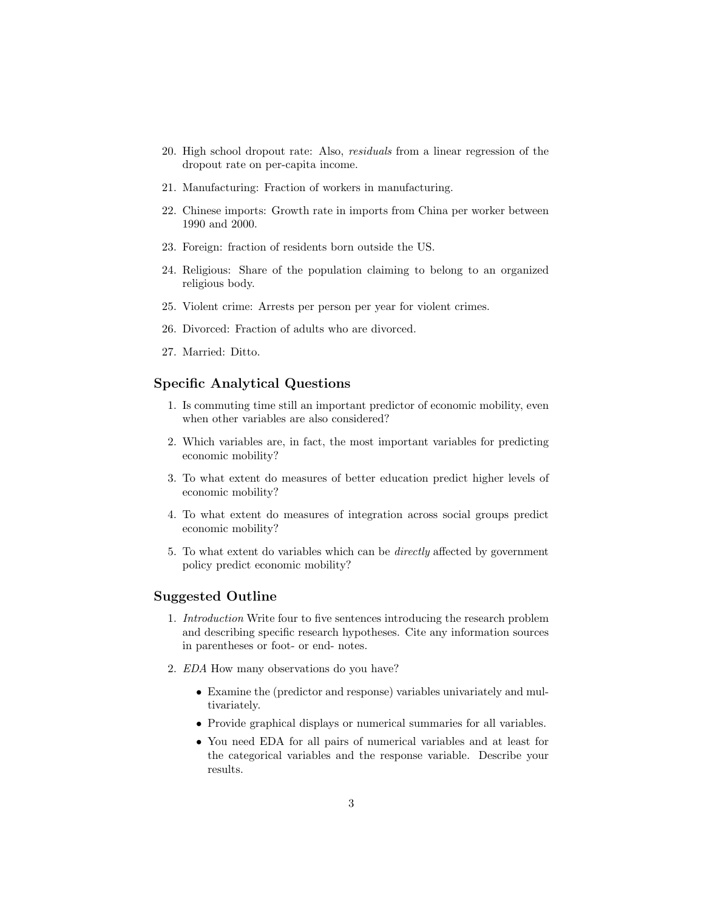- 20. High school dropout rate: Also, residuals from a linear regression of the dropout rate on per-capita income.
- 21. Manufacturing: Fraction of workers in manufacturing.
- 22. Chinese imports: Growth rate in imports from China per worker between 1990 and 2000.
- 23. Foreign: fraction of residents born outside the US.
- 24. Religious: Share of the population claiming to belong to an organized religious body.
- 25. Violent crime: Arrests per person per year for violent crimes.
- 26. Divorced: Fraction of adults who are divorced.
- 27. Married: Ditto.

#### Specific Analytical Questions

- 1. Is commuting time still an important predictor of economic mobility, even when other variables are also considered?
- 2. Which variables are, in fact, the most important variables for predicting economic mobility?
- 3. To what extent do measures of better education predict higher levels of economic mobility?
- 4. To what extent do measures of integration across social groups predict economic mobility?
- 5. To what extent do variables which can be *directly* affected by government policy predict economic mobility?

#### Suggested Outline

- 1. Introduction Write four to five sentences introducing the research problem and describing specific research hypotheses. Cite any information sources in parentheses or foot- or end- notes.
- 2. EDA How many observations do you have?
	- Examine the (predictor and response) variables univariately and multivariately.
	- Provide graphical displays or numerical summaries for all variables.
	- You need EDA for all pairs of numerical variables and at least for the categorical variables and the response variable. Describe your results.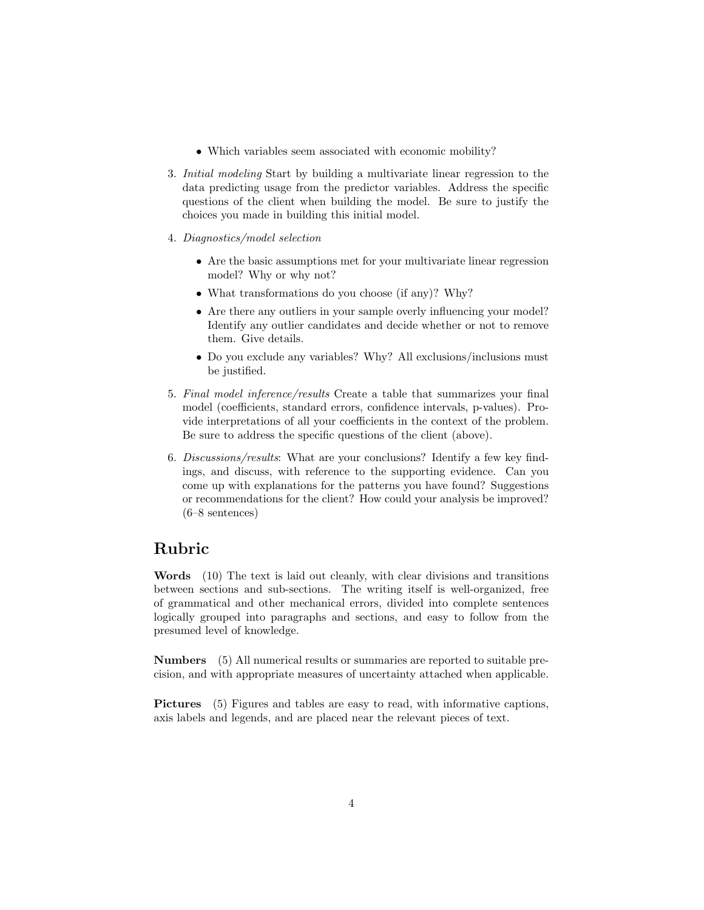- Which variables seem associated with economic mobility?
- 3. Initial modeling Start by building a multivariate linear regression to the data predicting usage from the predictor variables. Address the specific questions of the client when building the model. Be sure to justify the choices you made in building this initial model.
- 4. Diagnostics/model selection
	- Are the basic assumptions met for your multivariate linear regression model? Why or why not?
	- What transformations do you choose (if any)? Why?
	- Are there any outliers in your sample overly influencing your model? Identify any outlier candidates and decide whether or not to remove them. Give details.
	- Do you exclude any variables? Why? All exclusions/inclusions must be justified.
- 5. Final model inference/results Create a table that summarizes your final model (coefficients, standard errors, confidence intervals, p-values). Provide interpretations of all your coefficients in the context of the problem. Be sure to address the specific questions of the client (above).
- 6. Discussions/results: What are your conclusions? Identify a few key findings, and discuss, with reference to the supporting evidence. Can you come up with explanations for the patterns you have found? Suggestions or recommendations for the client? How could your analysis be improved? (6–8 sentences)

### Rubric

Words (10) The text is laid out cleanly, with clear divisions and transitions between sections and sub-sections. The writing itself is well-organized, free of grammatical and other mechanical errors, divided into complete sentences logically grouped into paragraphs and sections, and easy to follow from the presumed level of knowledge.

Numbers (5) All numerical results or summaries are reported to suitable precision, and with appropriate measures of uncertainty attached when applicable.

Pictures (5) Figures and tables are easy to read, with informative captions, axis labels and legends, and are placed near the relevant pieces of text.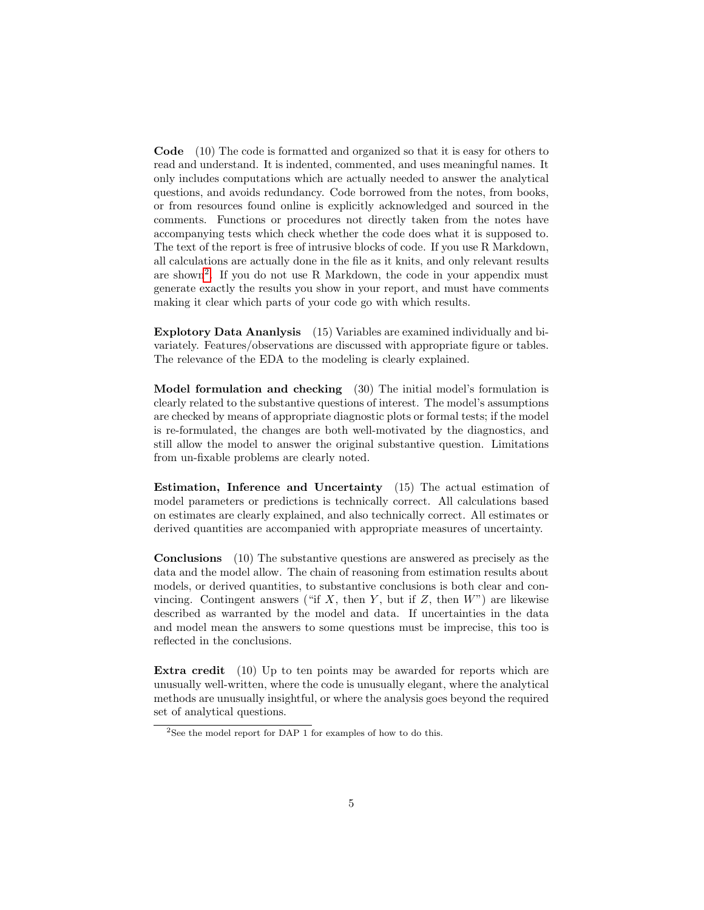Code (10) The code is formatted and organized so that it is easy for others to read and understand. It is indented, commented, and uses meaningful names. It only includes computations which are actually needed to answer the analytical questions, and avoids redundancy. Code borrowed from the notes, from books, or from resources found online is explicitly acknowledged and sourced in the comments. Functions or procedures not directly taken from the notes have accompanying tests which check whether the code does what it is supposed to. The text of the report is free of intrusive blocks of code. If you use R Markdown, all calculations are actually done in the file as it knits, and only relevant results are shown[2](#page-4-0) . If you do not use R Markdown, the code in your appendix must generate exactly the results you show in your report, and must have comments making it clear which parts of your code go with which results.

Explotory Data Ananlysis (15) Variables are examined individually and bivariately. Features/observations are discussed with appropriate figure or tables. The relevance of the EDA to the modeling is clearly explained.

Model formulation and checking (30) The initial model's formulation is clearly related to the substantive questions of interest. The model's assumptions are checked by means of appropriate diagnostic plots or formal tests; if the model is re-formulated, the changes are both well-motivated by the diagnostics, and still allow the model to answer the original substantive question. Limitations from un-fixable problems are clearly noted.

Estimation, Inference and Uncertainty (15) The actual estimation of model parameters or predictions is technically correct. All calculations based on estimates are clearly explained, and also technically correct. All estimates or derived quantities are accompanied with appropriate measures of uncertainty.

Conclusions (10) The substantive questions are answered as precisely as the data and the model allow. The chain of reasoning from estimation results about models, or derived quantities, to substantive conclusions is both clear and convincing. Contingent answers ("if  $X$ , then  $Y$ , but if  $Z$ , then  $W$ ") are likewise described as warranted by the model and data. If uncertainties in the data and model mean the answers to some questions must be imprecise, this too is reflected in the conclusions.

Extra credit (10) Up to ten points may be awarded for reports which are unusually well-written, where the code is unusually elegant, where the analytical methods are unusually insightful, or where the analysis goes beyond the required set of analytical questions.

<span id="page-4-0"></span><sup>&</sup>lt;sup>2</sup>See the model report for DAP 1 for examples of how to do this.